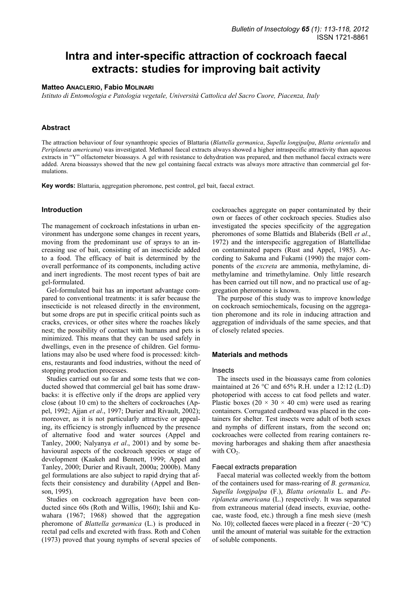# **Intra and inter-specific attraction of cockroach faecal extracts: studies for improving bait activity**

## **Matteo ANACLERIO, Fabio MOLINARI**

*Istituto di Entomologia e Patologia vegetale, Università Cattolica del Sacro Cuore, Piacenza, Italy* 

# **Abstract**

The attraction behaviour of four synanthropic species of Blattaria (*Blattella germanica*, *Supella longipalpa*, *Blatta orientalis* and *Periplaneta americana*) was investigated. Methanol faecal extracts always showed a higher intraspecific attractivity than aqueous extracts in "Y" olfactometer bioassays. A gel with resistance to dehydration was prepared, and then methanol faecal extracts were added. Arena bioassays showed that the new gel containing faecal extracts was always more attractive than commercial gel formulations.

**Key words:** Blattaria, aggregation pheromone, pest control, gel bait, faecal extract.

## **Introduction**

The management of cockroach infestations in urban environment has undergone some changes in recent years, moving from the predominant use of sprays to an increasing use of bait, consisting of an insecticide added to a food. The efficacy of bait is determined by the overall performance of its components, including active and inert ingredients. The most recent types of bait are gel-formulated.

Gel-formulated bait has an important advantage compared to conventional treatments: it is safer because the insecticide is not released directly in the environment, but some drops are put in specific critical points such as cracks, crevices, or other sites where the roaches likely nest; the possibility of contact with humans and pets is minimized. This means that they can be used safely in dwellings, even in the presence of children. Gel formulations may also be used where food is processed: kitchens, restaurants and food industries, without the need of stopping production processes.

Studies carried out so far and some tests that we conducted showed that commercial gel bait has some drawbacks: it is effective only if the drops are applied very close (about 10 cm) to the shelters of cockroaches (Appel, 1992; Ajjan *et al*., 1997; Durier and Rivault, 2002); moreover, as it is not particularly attractive or appealing, its efficiency is strongly influenced by the presence of alternative food and water sources (Appel and Tanley, 2000; Nalyanya *et al*., 2001) and by some behavioural aspects of the cockroach species or stage of development (Kaakeh and Bennett, 1999; Appel and Tanley, 2000; Durier and Rivault, 2000a; 2000b). Many gel formulations are also subject to rapid drying that affects their consistency and durability (Appel and Benson, 1995).

Studies on cockroach aggregation have been conducted since 60s (Roth and Willis, 1960); Ishii and Kuwahara (1967; 1968) showed that the aggregation pheromone of *Blattella germanica* (L.) is produced in rectal pad cells and excreted with frass. Roth and Cohen (1973) proved that young nymphs of several species of

cockroaches aggregate on paper contaminated by their own or faeces of other cockroach species. Studies also investigated the species specificity of the aggregation pheromones of some Blattids and Blaberids (Bell *et al*., 1972) and the interspecific aggregation of Blattellidae on contaminated papers (Rust and Appel, 1985). According to Sakuma and Fukami (1990) the major components of the *excreta* are ammonia, methylamine, dimethylamine and trimethylamine. Only little research has been carried out till now, and no practical use of aggregation pheromone is known.

The purpose of this study was to improve knowledge on cockroach semiochemicals, focusing on the aggregation pheromone and its role in inducing attraction and aggregation of individuals of the same species, and that of closely related species.

#### **Materials and methods**

#### Insects

The insects used in the bioassays came from colonies maintained at 26 °C and 65% R.H. under a 12:12 (L:D) photoperiod with access to cat food pellets and water. Plastic boxes (20  $\times$  30  $\times$  40 cm) were used as rearing containers. Corrugated cardboard was placed in the containers for shelter. Test insects were adult of both sexes and nymphs of different instars, from the second on; cockroaches were collected from rearing containers removing harborages and shaking them after anaesthesia with  $CO<sub>2</sub>$ .

#### Faecal extracts preparation

Faecal material was collected weekly from the bottom of the containers used for mass-rearing of *B. germanica, Supella longipalpa* (F.), *Blatta orientalis* L. and *Periplaneta americana* (L.) respectively. It was separated from extraneous material (dead insects, exuviae, oothecae, waste food, etc.) through a fine mesh sieve (mesh No. 10); collected faeces were placed in a freezer (−20 °C) until the amount of material was suitable for the extraction of soluble components.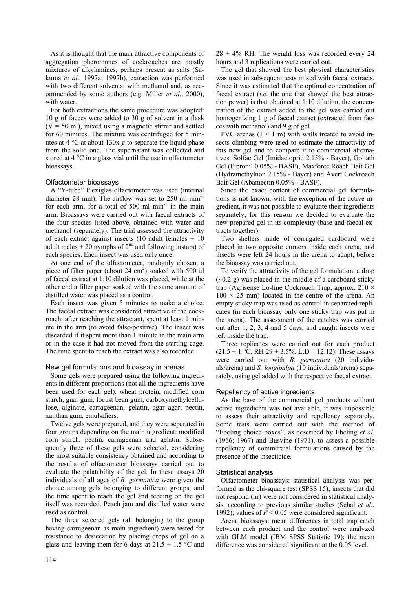As it is thought that the main attractive components of aggregation pheromones of cockroaches are mostly mixtures of alkylamines, perhaps present as salts (Sakuma *et al*., 1997a; 1997b), extraction was performed with two different solvents: with methanol and, as recommended by some authors (e.g. Miller *et al*., 2000), with water.

For both extractions the same procedure was adopted: 10 g of faeces were added to 30 g of solvent in a flask  $(V = 50$  ml), mixed using a magnetic stirrer and settled for 60 minutes. The mixture was centrifuged for 5 minutes at 4 °C at about 130x *g* to separate the liquid phase from the solid one. The supernatant was collected and stored at 4 °C in a glass vial until the use in olfactometer bioassays.

# Olfactometer bioassays

A "Y-tube" Plexiglas olfactometer was used (internal diameter 28 mm). The airflow was set to 250 ml min<sup>-1</sup> for each arm, for a total of 500 ml  $min^{-1}$  in the main arm. Bioassays were carried out with faecal extracts of the four species listed above, obtained with water and methanol (separately). The trial assessed the attractivity of each extract against insects (10 adult females + 10 adult males  $+ 20$  nymphs of  $2<sup>nd</sup>$  and following instars) of each species. Each insect was used only once.

At one end of the olfactometer, randomly chosen, a piece of filter paper (about 24 cm<sup>2</sup>) soaked with 500  $\mu$ l of faecal extract at 1:10 dilution was placed, while at the other end a filter paper soaked with the same amount of distilled water was placed as a control.

Each insect was given 5 minutes to make a choice. The faecal extract was considered attractive if the cockroach, after reaching the attractant, spent at least 1 minute in the arm (to avoid false-positive). The insect was discarded if it spent more than 1 minute in the main arm or in the case it had not moved from the starting cage. The time spent to reach the extract was also recorded.

#### New gel formulations and bioassay in arenas

Some gels were prepared using the following ingredients in different proportions (not all the ingredients have been used for each gel): wheat protein, modified corn starch, guar gum, locust bean gum, carboxymethylcellulose, alginate, carrageenan, gelatin, agar agar, pectin, xanthan gum, emulsifiers.

Twelve gels were prepared, and they were separated in four groups depending on the main ingredient: modified corn starch, pectin, carrageenan and gelatin. Subsequently three of these gels were selected, considering the most suitable consistency obtained and according to the results of olfactometer bioassays carried out to evaluate the palatability of the gel. In these assays 20 individuals of all ages of *B. germanica* were given the choice among gels belonging to different groups, and the time spent to reach the gel and feeding on the gel itself was recorded. Peach jam and distilled water were used as control.

The three selected gels (all belonging to the group having carrageenan as main ingredient) were tested for resistance to desiccation by placing drops of gel on a glass and leaving them for 6 days at  $21.5 \pm 1.5$  °C and  $28 \pm 4\%$  RH. The weight loss was recorded every 24 hours and 3 replications were carried out.

The gel that showed the best physical characteristics was used in subsequent tests mixed with faecal extracts. Since it was estimated that the optimal concentration of faecal extract (*i.e*. the one that showed the best attraction power) is that obtained at 1:10 dilution, the concentration of the extract added to the gel was carried out homogenizing 1 g of faecal extract (extracted from faeces with methanol) and 9 g of gel.

PVC arenas  $(1 \times 1$  m) with walls treated to avoid insects climbing were used to estimate the attractivity of this new gel and to compare it to commercial alternatives: Solfac Gel (Imidacloprid 2.15% - Bayer), Goliath Gel (Fipronil 0.05% - BASF), Maxforce Roach Bait Gel (Hydramethylnon 2.15% - Bayer) and Avert Cockroach Bait Gel (Abamectin 0.05% - BASF).

Since the exact content of commercial gel formulations is not known, with the exception of the active ingredient, it was not possible to evaluate their ingredients separately; for this reason we decided to evaluate the new prepared gel in its complexity (base and faecal extracts together).

Two shelters made of corrugated cardboard were placed in two opposite corners inside each arena, and insects were left 24 hours in the arena to adapt, before the bioassay was carried out.

To verify the attractivity of the gel formulation, a drop (∼0.2 g) was placed in the middle of a cardboard sticky trap (Agrisense Lo-line Cockroach Trap, approx.  $210 \times$  $100 \times 25$  mm) located in the centre of the arena. An empty sticky trap was used as control in separated replicates (in each bioassay only one sticky trap was put in the arena). The assessment of the catches was carried out after 1, 2, 3, 4 and 5 days, and caught insects were left inside the trap.

Three replicates were carried out for each product  $(21.5 \pm 1 \degree C, \text{RH } 29 \pm 3.5\%, \text{ L:D} = 12.12)$ . These assays were carried out with *B. germanica* (20 individuals/arena) and *S. longipalpa* (10 individuals/arena) separately, using gel added with the respective faecal extract.

# Repellency of active ingredients

As the base of the commercial gel products without active ingredients was not available, it was impossible to assess their attractivity and repellency separately. Some tests were carried out with the method of "Ebeling choice boxes", as described by Ebeling *et al*. (1966; 1967) and Busvine (1971), to assess a possible repellency of commercial formulations caused by the presence of the insecticide.

# Statistical analysis

Olfactometer bioassays: statistical analysis was performed as the chi-square test (SPSS 15); insects that did not respond (nr) were not considered in statistical analysis, according to previous similar studies (Schal *et al.*, 1992); values of  $P < 0.05$  were considered significant.

Arena bioassays: mean differences in total trap catch between each product and the control were analyzed with GLM model (IBM SPSS Statistic 19); the mean difference was considered significant at the 0.05 level.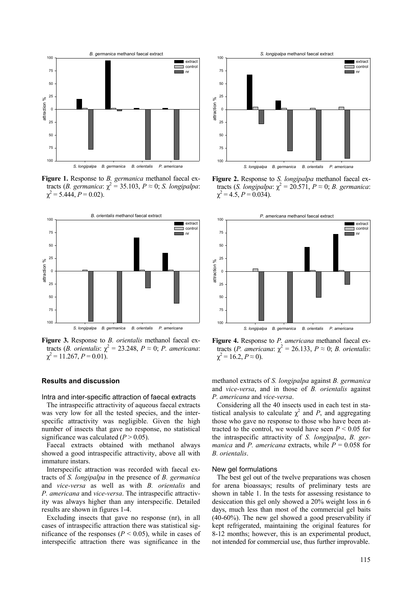

**Figure 1.** Response to *B. germanica* methanol faecal extracts (*B. germanica*: χ 2 = 35.103, *P* ≈ 0; *S. longipalpa*:  $\chi^2$  = 5.444, *P* = 0.02).



**Figure 3.** Response to *B. orientalis* methanol faecal extracts (*B. orientalis:*  $\chi^2 = 23.248$ ,  $P \approx 0$ ; *P. americana:*  $\chi^2 = 11.267, P = 0.01$ .

## **Results and discussion**

Intra and inter-specific attraction of faecal extracts

The intraspecific attractivity of aqueous faecal extracts was very low for all the tested species, and the interspecific attractivity was negligible. Given the high number of insects that gave no response, no statistical significance was calculated  $(P > 0.05)$ .

Faecal extracts obtained with methanol always showed a good intraspecific attractivity, above all with immature instars.

Interspecific attraction was recorded with faecal extracts of *S. longipalpa* in the presence of *B. germanica* and *vice-versa* as well as with *B. orientalis* and *P. americana* and *vice-versa*. The intraspecific attractivity was always higher than any interspecific. Detailed results are shown in figures 1-4.

Excluding insects that gave no response (nr), in all cases of intraspecific attraction there was statistical significance of the responses ( $P < 0.05$ ), while in cases of interspecific attraction there was significance in the



**Figure 2.** Response to *S. longipalpa* methanol faecal extracts (*S. longipalpa*:  $\chi^2 = 20.571$ ,  $P \approx 0$ ; *B. germanica*:  $\chi^2 = 4.5, P = 0.034.$ 



**Figure 4.** Response to *P. americana* methanol faecal extracts (*P. americana*: χ 2 = 26.133, *P* ≈ 0; *B. orientalis*:  $\chi^2 = 16.2, P \approx 0$ ).

methanol extracts of *S. longipalpa* against *B. germanica* and *vice-versa*, and in those of *B. orientalis* against *P. americana* and *vice-versa*.

Considering all the 40 insects used in each test in statistical analysis to calculate  $\chi^2$  and *P*, and aggregating those who gave no response to those who have been attracted to the control, we would have seen  $P \leq 0.05$  for the intraspecific attractivity of *S. longipalpa*, *B. germanica* and *P. americana* extracts, while  $P = 0.058$  for *B. orientalis*.

#### New gel formulations

The best gel out of the twelve preparations was chosen for arena bioassays; results of preliminary tests are shown in table 1. In the tests for assessing resistance to desiccation this gel only showed a 20% weight loss in 6 days, much less than most of the commercial gel baits (40-60%). The new gel showed a good preservability if kept refrigerated, maintaining the original features for 8-12 months; however, this is an experimental product, not intended for commercial use, thus further improvable.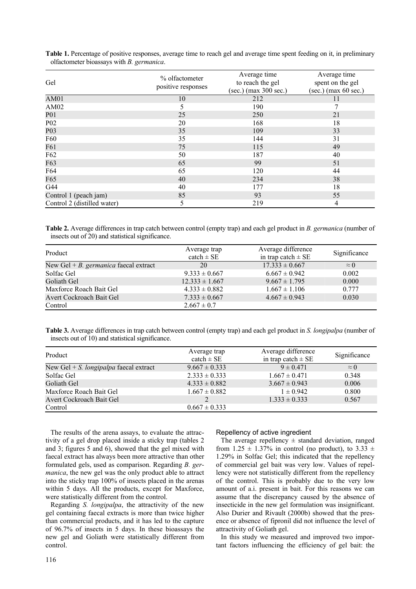| Gel                         | % olfactometer<br>positive responses | Average time<br>to reach the gel<br>$(sec.)$ (max 300 sec.) | Average time<br>spent on the gel<br>$(sec.)$ (max 60 sec.) |
|-----------------------------|--------------------------------------|-------------------------------------------------------------|------------------------------------------------------------|
| AM01                        | 10                                   | 212                                                         | 11                                                         |
| AM02                        | 5                                    | 190                                                         |                                                            |
| <b>P01</b>                  | 25                                   | 250                                                         | 21                                                         |
| P <sub>02</sub>             | 20                                   | 168                                                         | 18                                                         |
| P <sub>0</sub> 3            | 35                                   | 109                                                         | 33                                                         |
| F60                         | 35                                   | 144                                                         | 31                                                         |
| F61                         | 75                                   | 115                                                         | 49                                                         |
| F62                         | 50                                   | 187                                                         | 40                                                         |
| F63                         | 65                                   | 99                                                          | 51                                                         |
| F64                         | 65                                   | 120                                                         | 44                                                         |
| F65                         | 40                                   | 234                                                         | 38                                                         |
| G44                         | 40                                   | 177                                                         | 18                                                         |
| Control 1 (peach jam)       | 85                                   | 93                                                          | 55                                                         |
| Control 2 (distilled water) | 5                                    | 219                                                         | 4                                                          |

**Table 1.** Percentage of positive responses, average time to reach gel and average time spent feeding on it, in preliminary olfactometer bioassays with *B. germanica*.

**Table 2.** Average differences in trap catch between control (empty trap) and each gel product in *B. germanica* (number of insects out of 20) and statistical significance.

| Product                               | Average trap<br>$\text{catch} \pm \text{SE}$ | Average difference<br>in trap catch $\pm$ SE | Significance |
|---------------------------------------|----------------------------------------------|----------------------------------------------|--------------|
| New Gel + B. germanica faecal extract | 20                                           | $17.333 \pm 0.667$                           | $\approx$ 0  |
| Solfac Gel                            | $9.333 \pm 0.667$                            | $6.667 \pm 0.942$                            | 0.002        |
| Goliath Gel                           | $12.333 \pm 1.667$                           | $9.667 \pm 1.795$                            | 0.000        |
| Maxforce Roach Bait Gel               | $4.333 \pm 0.882$                            | $1.667 \pm 1.106$                            | 0.777        |
| Avert Cockroach Bait Gel              | $7.333 \pm 0.667$                            | $4.667 \pm 0.943$                            | 0.030        |
| Control                               | $2.667 \pm 0.7$                              |                                              |              |

**Table 3.** Average differences in trap catch between control (empty trap) and each gel product in *S. longipalpa* (number of insects out of 10) and statistical significance.

| Product                                          | Average trap<br>$\text{catch} \pm \text{SE}$ | Average difference<br>in trap catch $\pm$ SE | Significance |
|--------------------------------------------------|----------------------------------------------|----------------------------------------------|--------------|
| New Gel $+ S$ . <i>longipalpa</i> faecal extract | $9.667 \pm 0.333$                            | $9 \pm 0.471$                                | $\approx$ 0  |
| Solfac Gel                                       | $2.333 \pm 0.333$                            | $1.667 \pm 0.471$                            | 0.348        |
| Goliath Gel                                      | $4.333 \pm 0.882$                            | $3.667 \pm 0.943$                            | 0.006        |
| Maxforce Roach Bait Gel                          | $1.667 \pm 0.882$                            | $1 \pm 0.942$                                | 0.800        |
| Avert Cockroach Bait Gel                         |                                              | $1.333 \pm 0.333$                            | 0.567        |
| Control                                          | $0.667 \pm 0.333$                            |                                              |              |

The results of the arena assays, to evaluate the attractivity of a gel drop placed inside a sticky trap (tables 2 and 3; figures 5 and 6), showed that the gel mixed with faecal extract has always been more attractive than other formulated gels, used as comparison. Regarding *B. germanica*, the new gel was the only product able to attract into the sticky trap 100% of insects placed in the arenas within 5 days. All the products, except for Maxforce, were statistically different from the control.

Regarding *S. longipalpa*, the attractivity of the new gel containing faecal extracts is more than twice higher than commercial products, and it has led to the capture of 96.7% of insects in 5 days. In these bioassays the new gel and Goliath were statistically different from control.

#### Repellency of active ingredient

The average repellency  $\pm$  standard deviation, ranged from 1.25  $\pm$  1.37% in control (no product), to 3.33  $\pm$ 1.29% in Solfac Gel; this indicated that the repellency of commercial gel bait was very low. Values of repellency were not statistically different from the repellency of the control. This is probably due to the very low amount of a.i. present in bait. For this reasons we can assume that the discrepancy caused by the absence of insecticide in the new gel formulation was insignificant. Also Durier and Rivault (2000b) showed that the presence or absence of fipronil did not influence the level of attractivity of Goliath gel.

In this study we measured and improved two important factors influencing the efficiency of gel bait: the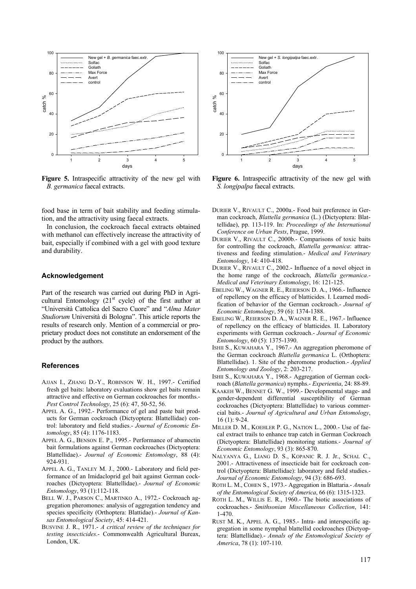

**Figure 5.** Intraspecific attractivity of the new gel with *B. germanica* faecal extracts.

food base in term of bait stability and feeding stimulation, and the attractivity using faecal extracts.

In conclusion, the cockroach faecal extracts obtained with methanol can effectively increase the attractivity of bait, especially if combined with a gel with good texture and durability.

#### **Acknowledgement**

Part of the research was carried out during PhD in Agricultural Entomology  $(21<sup>st</sup>$  cycle) of the first author at "Università Cattolica del Sacro Cuore" and "*Alma Mater Studiorum* Università di Bologna". This article reports the results of research only. Mention of a commercial or proprietary product does not constitute an endorsement of the product by the authors.

# **References**

- AJJAN I., ZHANG D.-Y., ROBINSON W. H., 1997.- Certified fresh gel baits: laboratory evaluations show gel baits remain attractive and effective on German cockroaches for months.- *Pest Control Technology*, 25 (6): 47, 50-52, 56.
- APPEL A. G., 1992.- Performance of gel and paste bait products for German cockroach (Dictyoptera: Blattellidae) control: laboratory and field studies.- *Journal of Economic Entomology*, 85 (4): 1176-1183.
- APPEL A. G., BENSON E. P., 1995.- Performance of abamectin bait formulations against German cockroaches (Dictyoptera: Blattellidae).- *Journal of Economic Entomology*, 88 (4): 924-931.
- APPEL A. G., TANLEY M. J., 2000.- Laboratory and field performance of an Imidacloprid gel bait against German cockroaches (Dictyoptera: Blattellidae).- *Journal of Economic Entomology*, 93 (1):112-118.
- BELL W. J., PARSON C., MARTINKO A., 1972.- Cockroach aggregation pheromones: analysis of aggregation tendency and species specificity (Orthoptera: Blattidae).- *Journal of Kansas Entomological Society*, 45: 414-421.
- BUSVINE J. R., 1971.- *A critical review of the techniques for testing insecticides*.- Commonwealth Agricultural Bureax, London, UK.



**Figure 6.** Intraspecific attractivity of the new gel with *S. longipalpa* faecal extracts.

- DURIER V., RIVAULT C., 2000a.- Food bait preference in German cockroach, *Blattella germanica* (L.) (Dictyoptera: Blattellidae), pp. 113-119. In: *Proceedings of the International Conference on Urban Pests*, Prague, 1999.
- DURIER V., RIVAULT C., 2000b.- Comparisons of toxic baits for controlling the cockroach, *Blattella germanica*: attractiveness and feeding stimulation.- *Medical and Veterinary Entomology*, 14: 410-418.
- DURIER V., RIVAULT C., 2002.- Influence of a novel object in the home range of the cockroach, *Blattella germanica*.- *Medical and Veterinary Entomology*, 16: 121-125.
- EBELING W., WAGNER R. E., REIERSON D. A., 1966.- Influence of repellency on the efficacy of blatticides. I. Learned modification of behavior of the German cockroach.- *Journal of Economic Entomology*, 59 (6): 1374-1388.
- EBELING W., REIERSON D. A., WAGNER R. E., 1967.- Influence of repellency on the efficacy of blatticides. II. Laboratory experiments with German cockroach.- *Journal of Economic Entomology*, 60 (5): 1375-1390.
- ISHII S., KUWAHARA Y., 1967.- An aggregation pheromone of the German cockroach *Blattella germanica* L. (Orthoptera: Blattellidae). 1. Site of the pheromone production.- *Applied Entomology and Zoology*, 2: 203-217.
- ISHII S., KUWAHARA Y., 1968.- Aggregation of German cockroach (*Blattella germanica*) nymphs.- *Experientia*, 24: 88-89.
- KAAKEH W., BENNET G. W., 1999.- Developmental stage- and gender-dependent differential susceptibility of German cockroaches (Dictyoptera: Blattellidae) to various commercial baits.- *Journal of Agricultural and Urban Entomology*, 16 (1): 9-24.
- MILLER D. M., KOEHLER P. G., NATION L., 2000.- Use of faecal extract trails to enhance trap catch in German Cockroach (Dictyoptera: Blattellidae) monitoring stations.- *Journal of Economic Entomology*, 93 (3): 865-870.
- NALYANYA G., LIANG D. S., KOPANIC R. J. Jr., SCHAL C., 2001.- Attractiveness of insecticide bait for cockroach control (Dictyoptera: Blattellidae): laboratory and field studies.- *Journal of Economic Entomology*, 94 (3): 686-693.
- ROTH L. M., COHEN S., 1973.- Aggregation in Blattaria.- *Annals of the Entomological Society of America*, 66 (6): 1315-1323.
- ROTH L. M., WILLIS E. R., 1960.- The biotic associations of cockroaches.- *Smithsonian Miscellaneous Collection*, 141: 1-470.
- RUST M. K., APPEL A. G., 1985.- Intra- and interspecific aggregation in some nymphal blattellid cockroaches (Dictyoptera: Blattellidae).- *Annals of the Entomological Society of America*, 78 (1): 107-110.